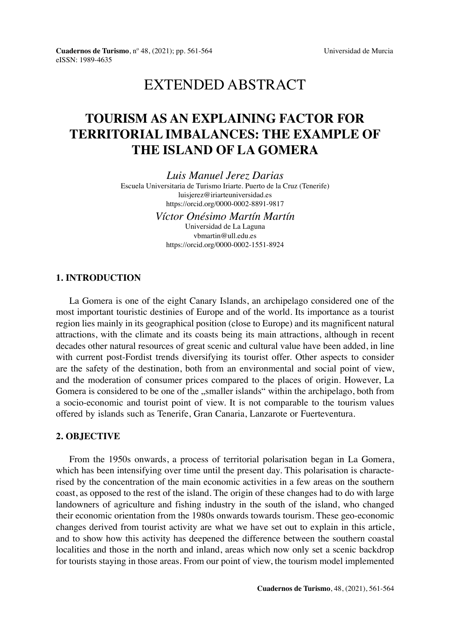# EXTENDED ABSTRACT

# **TOURISM AS AN EXPLAINING FACTOR FOR TERRITORIAL IMBALANCES: THE EXAMPLE OF THE ISLAND OF LA GOMERA**

*Luis Manuel Jerez Darias*

Escuela Universitaria de Turismo Iriarte. Puerto de la Cruz (Tenerife) [luisjerez@iriarteuniversidad.es](mailto:luisjerez@iriarteuniversidad.es) <https://orcid.org/0000-0002-8891-9817>

> *Víctor Onésimo Martín Martín* Universidad de La Laguna [vbmartin@ull.edu.es](mailto:vbmartin@ull.edu.es) <https://orcid.org/0000-0002-1551-8924>

## **1. INTRODUCTION**

La Gomera is one of the eight Canary Islands, an archipelago considered one of the most important touristic destinies of Europe and of the world. Its importance as a tourist region lies mainly in its geographical position (close to Europe) and its magnificent natural attractions, with the climate and its coasts being its main attractions, although in recent decades other natural resources of great scenic and cultural value have been added, in line with current post-Fordist trends diversifying its tourist offer. Other aspects to consider are the safety of the destination, both from an environmental and social point of view, and the moderation of consumer prices compared to the places of origin. However, La Gomera is considered to be one of the "smaller islands" within the archipelago, both from a socio-economic and tourist point of view. It is not comparable to the tourism values offered by islands such as Tenerife, Gran Canaria, Lanzarote or Fuerteventura.

# **2. OBJECTIVE**

From the 1950s onwards, a process of territorial polarisation began in La Gomera, which has been intensifying over time until the present day. This polarisation is characterised by the concentration of the main economic activities in a few areas on the southern coast, as opposed to the rest of the island. The origin of these changes had to do with large landowners of agriculture and fishing industry in the south of the island, who changed their economic orientation from the 1980s onwards towards tourism. These geo-economic changes derived from tourist activity are what we have set out to explain in this article, and to show how this activity has deepened the difference between the southern coastal localities and those in the north and inland, areas which now only set a scenic backdrop for tourists staying in those areas. From our point of view, the tourism model implemented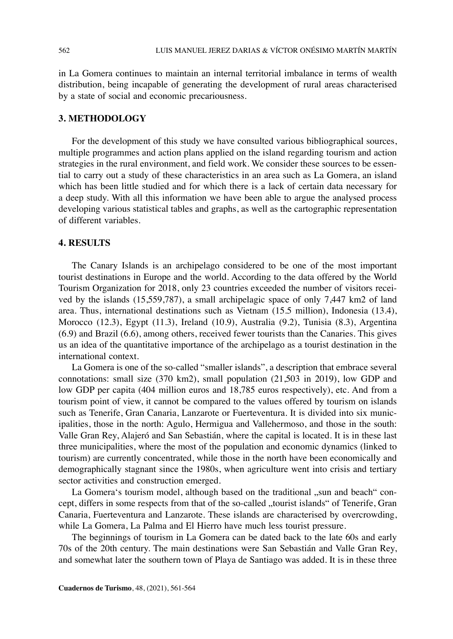in La Gomera continues to maintain an internal territorial imbalance in terms of wealth distribution, being incapable of generating the development of rural areas characterised by a state of social and economic precariousness.

### **3. METHODOLOGY**

For the development of this study we have consulted various bibliographical sources, multiple programmes and action plans applied on the island regarding tourism and action strategies in the rural environment, and field work. We consider these sources to be essential to carry out a study of these characteristics in an area such as La Gomera, an island which has been little studied and for which there is a lack of certain data necessary for a deep study. With all this information we have been able to argue the analysed process developing various statistical tables and graphs, as well as the cartographic representation of different variables.

#### **4. RESULTS**

The Canary Islands is an archipelago considered to be one of the most important tourist destinations in Europe and the world. According to the data offered by the World Tourism Organization for 2018, only 23 countries exceeded the number of visitors received by the islands (15,559,787), a small archipelagic space of only 7,447 km2 of land area. Thus, international destinations such as Vietnam (15.5 million), Indonesia (13.4), Morocco (12.3), Egypt (11.3), Ireland (10.9), Australia (9.2), Tunisia (8.3), Argentina (6.9) and Brazil (6.6), among others, received fewer tourists than the Canaries. This gives us an idea of the quantitative importance of the archipelago as a tourist destination in the international context.

La Gomera is one of the so-called "smaller islands", a description that embrace several connotations: small size (370 km2), small population (21,503 in 2019), low GDP and low GDP per capita (404 million euros and 18,785 euros respectively), etc. And from a tourism point of view, it cannot be compared to the values offered by tourism on islands such as Tenerife, Gran Canaria, Lanzarote or Fuerteventura. It is divided into six municipalities, those in the north: Agulo, Hermigua and Vallehermoso, and those in the south: Valle Gran Rey, Alajeró and San Sebastián, where the capital is located. It is in these last three municipalities, where the most of the population and economic dynamics (linked to tourism) are currently concentrated, while those in the north have been economically and demographically stagnant since the 1980s, when agriculture went into crisis and tertiary sector activities and construction emerged.

La Gomera's tourism model, although based on the traditional "sun and beach" concept, differs in some respects from that of the so-called "tourist islands" of Tenerife, Gran Canaria, Fuerteventura and Lanzarote. These islands are characterised by overcrowding, while La Gomera, La Palma and El Hierro have much less tourist pressure.

The beginnings of tourism in La Gomera can be dated back to the late 60s and early 70s of the 20th century. The main destinations were San Sebastián and Valle Gran Rey, and somewhat later the southern town of Playa de Santiago was added. It is in these three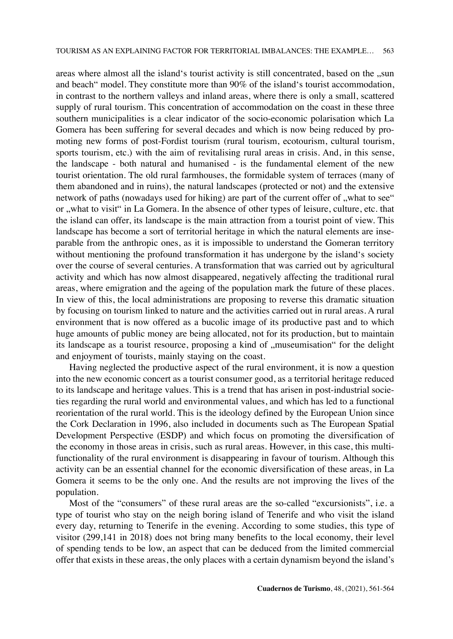areas where almost all the island's tourist activity is still concentrated, based on the ..sun and beach" model. They constitute more than 90% of the island's tourist accommodation, in contrast to the northern valleys and inland areas, where there is only a small, scattered supply of rural tourism. This concentration of accommodation on the coast in these three southern municipalities is a clear indicator of the socio-economic polarisation which La Gomera has been suffering for several decades and which is now being reduced by promoting new forms of post-Fordist tourism (rural tourism, ecotourism, cultural tourism, sports tourism, etc.) with the aim of revitalising rural areas in crisis. And, in this sense, the landscape - both natural and humanised - is the fundamental element of the new tourist orientation. The old rural farmhouses, the formidable system of terraces (many of them abandoned and in ruins), the natural landscapes (protected or not) and the extensive network of paths (nowadays used for hiking) are part of the current offer of "what to see" or "what to visit" in La Gomera. In the absence of other types of leisure, culture, etc. that the island can offer, its landscape is the main attraction from a tourist point of view. This landscape has become a sort of territorial heritage in which the natural elements are inseparable from the anthropic ones, as it is impossible to understand the Gomeran territory without mentioning the profound transformation it has undergone by the island's society over the course of several centuries. A transformation that was carried out by agricultural activity and which has now almost disappeared, negatively affecting the traditional rural areas, where emigration and the ageing of the population mark the future of these places. In view of this, the local administrations are proposing to reverse this dramatic situation by focusing on tourism linked to nature and the activities carried out in rural areas. A rural environment that is now offered as a bucolic image of its productive past and to which huge amounts of public money are being allocated, not for its production, but to maintain its landscape as a tourist resource, proposing a kind of "museumisation" for the delight and enjoyment of tourists, mainly staying on the coast.

Having neglected the productive aspect of the rural environment, it is now a question into the new economic concert as a tourist consumer good, as a territorial heritage reduced to its landscape and heritage values. This is a trend that has arisen in post-industrial societies regarding the rural world and environmental values, and which has led to a functional reorientation of the rural world. This is the ideology defined by the European Union since the Cork Declaration in 1996, also included in documents such as The European Spatial Development Perspective (ESDP) and which focus on promoting the diversification of the economy in those areas in crisis, such as rural areas. However, in this case, this multifunctionality of the rural environment is disappearing in favour of tourism. Although this activity can be an essential channel for the economic diversification of these areas, in La Gomera it seems to be the only one. And the results are not improving the lives of the population.

Most of the "consumers" of these rural areas are the so-called "excursionists", i.e. a type of tourist who stay on the neigh boring island of Tenerife and who visit the island every day, returning to Tenerife in the evening. According to some studies, this type of visitor (299,141 in 2018) does not bring many benefits to the local economy, their level of spending tends to be low, an aspect that can be deduced from the limited commercial offer that exists in these areas, the only places with a certain dynamism beyond the island's